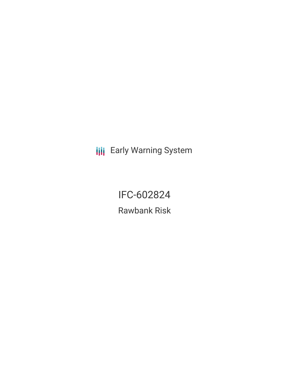**III** Early Warning System

IFC-602824 Rawbank Risk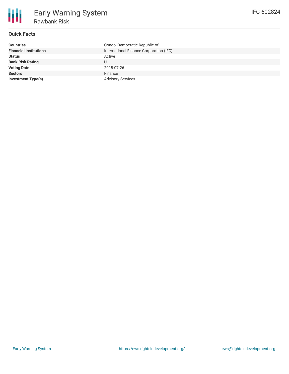### **Quick Facts**

| <b>Countries</b>              | Congo, Democratic Republic of           |
|-------------------------------|-----------------------------------------|
| <b>Financial Institutions</b> | International Finance Corporation (IFC) |
| <b>Status</b>                 | Active                                  |
| <b>Bank Risk Rating</b>       | U                                       |
| <b>Voting Date</b>            | 2018-07-26                              |
| <b>Sectors</b>                | Finance                                 |
| Investment Type(s)            | <b>Advisory Services</b>                |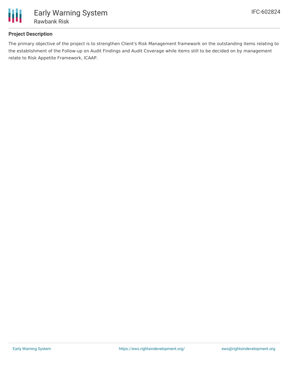

## **Project Description**

The primary objective of the project is to strengthen Client's Risk Management framework on the outstanding items relating to the establishment of the Follow-up on Audit Findings and Audit Coverage while items still to be decided on by management relate to Risk Appetite Framework, ICAAP.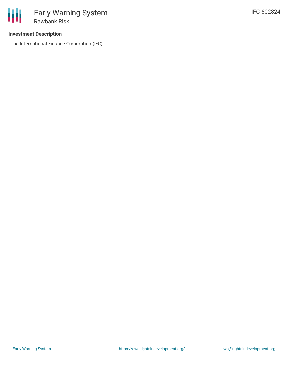### **Investment Description**

• International Finance Corporation (IFC)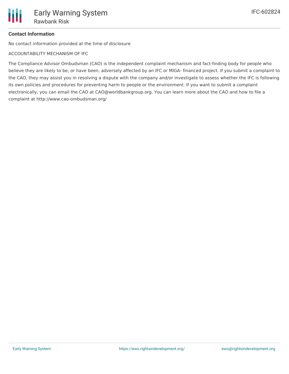# **Contact Information**

No contact information provided at the time of disclosure

ACCOUNTABILITY MECHANISM OF IFC

The Compliance Advisor Ombudsman (CAO) is the independent complaint mechanism and fact-finding body for people who believe they are likely to be, or have been, adversely affected by an IFC or MIGA- financed project. If you submit a complaint to the CAO, they may assist you in resolving a dispute with the company and/or investigate to assess whether the IFC is following its own policies and procedures for preventing harm to people or the environment. If you want to submit a complaint electronically, you can email the CAO at CAO@worldbankgroup.org. You can learn more about the CAO and how to file a complaint at http://www.cao-ombudsman.org/